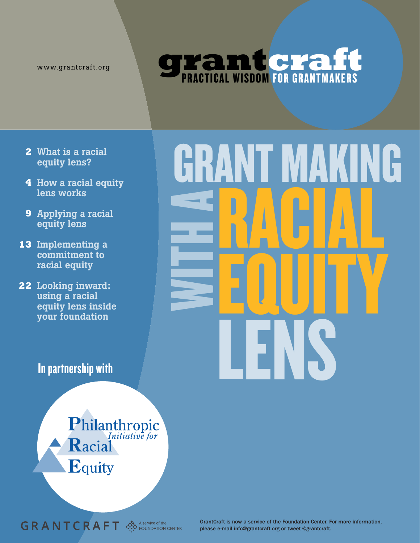www.grantcraft.org

# **grantcraft**

- **2** What is a racial equity lens?
- **4** How a racial equity lens works
- **9** Applying a racial equity lens
- **13** Implementing a commitment to racial equity
- **22** Looking inward: using a racial equity lens inside your foundation

## In partnership with

Philanthropic<br>Racial Equity

**GRANTCRAFT**  $\mathcal{L}$  **A** FT



GrantCraft is now a service of the Foundation Center. For more information, please e-mail info@grantcraft.org or tweet @grantcraft.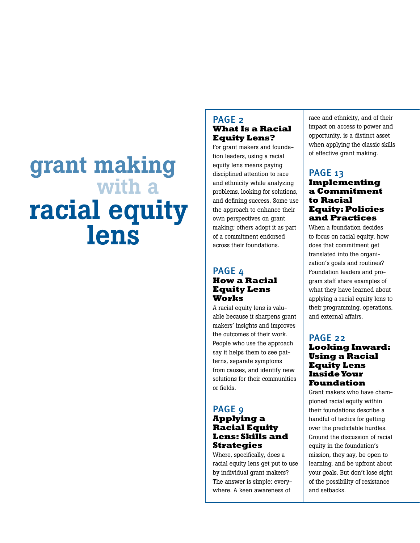## grant making with a racial equity lens

#### PAGE<sub>2</sub> **What Is a Racial Equity Lens?**

For grant makers and foundation leaders, using a racial equity lens means paying disciplined attention to race and ethnicity while analyzing problems, looking for solutions, and defining success. Some use the approach to enhance their own perspectives on grant making; others adopt it as part of a commitment endorsed across their foundations.

#### PAGE 4 **How a Racial Equity Lens Works**

A racial equity lens is valuable because it sharpens grant makers' insights and improves the outcomes of their work. People who use the approach say it helps them to see patterns, separate symptoms from causes, and identify new solutions for their communities or fields.

## PAGE<sub>9</sub>

#### **Applying a Racial Equity Lens: Skills and Strategies**

Where, specifically, does a racial equity lens get put to use by individual grant makers? The answer is simple: everywhere. A keen awareness of

race and ethnicity, and of their impact on access to power and opportunity, is a distinct asset when applying the classic skills of effective grant making.

#### PAGE 13 **Implementing a Commitment to Racial Equity: Policies and Practices**

When a foundation decides to focus on racial equity, how does that commitment get translated into the organization's goals and routines? Foundation leaders and program staff share examples of what they have learned about applying a racial equity lens to their programming, operations, and external affairs.

#### PAGE 22 **Looking Inward: Using a Racial Equity Lens Inside Your Foundation**

Grant makers who have championed racial equity within their foundations describe a handful of tactics for getting over the predictable hurdles. Ground the discussion of racial equity in the foundation's mission, they say, be open to learning, and be upfront about your goals. But don't lose sight of the possibility of resistance and setbacks.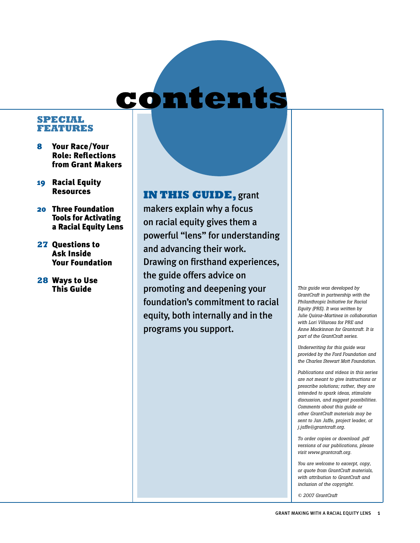## contents

#### **Special Features**

- 8 Your Race/Your Role: Reflections from Grant Makers
- 19 Racial Equity Resources
- 20 Three Foundation Tools for Activating a Racial Equity Lens
- **27** Questions to Ask Inside Your Foundation
- **28** Ways to Use This Guide

## **IN THIS GUIDE,** grant

makers explain why a focus on racial equity gives them a powerful "lens" for understanding and advancing their work. Drawing on firsthand experiences, the guide offers advice on promoting and deepening your foundation's commitment to racial equity, both internally and in the programs you support.

*This guide was developed by GrantCraft in partnership with the Philanthropic Initiative for Racial Equity (PRE). It was written by Julie Quiroz-Martinez in collaboration with Lori Villarosa for PRE and Anne Mackinnon for Grantcraft. It is part of the GrantCraft series.*

*Underwriting for this guide was provided by the Ford Foundation and the Charles Stewart Mott Foundation.* 

*Publications and videos in this series are not meant to give instructions or prescribe solutions; rather, they are intended to spark ideas, stimulate discussion, and suggest possibilities. Comments about this guide or other GrantCraft materials may be sent to Jan Jaffe, project leader, at j.jaffe@grantcraft.org.*

*To order copies or download .pdf versions of our publications, please visit www.grantcraft.org.*

*You are welcome to excerpt, copy, or quote from GrantCraft materials, with attribution to GrantCraft and inclusion of the copyright.*

*© 2007 GrantCraft*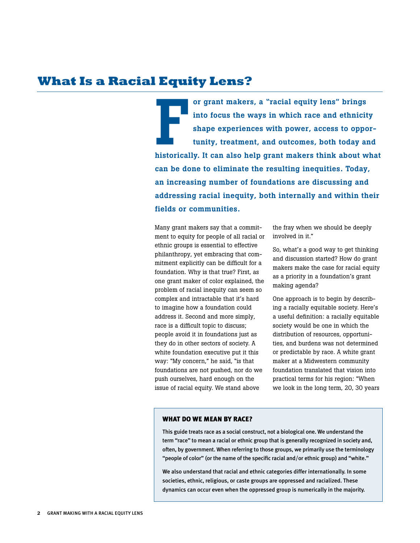## **What Is a Racial Equity Lens?**

Fortunaters, a "racial equity lens" brings<br>into focus the ways in which race and ethnicity<br>shape experiences with power, access to oppor-<br>tunity, treatment, and outcomes, both today and<br>historically. It can also help grant or grant makers, a "racial equity lens" brings into focus the ways in which race and ethnicity shape experiences with power, access to opportunity, treatment, and outcomes, both today and can be done to eliminate the resulting inequities. Today, an increasing number of foundations are discussing and addressing racial inequity, both internally and within their fields or communities.

Many grant makers say that a commitment to equity for people of all racial or ethnic groups is essential to effective philanthropy, yet embracing that commitment explicitly can be difficult for a foundation. Why is that true? First, as one grant maker of color explained, the problem of racial inequity can seem so complex and intractable that it's hard to imagine how a foundation could address it. Second and more simply, race is a difficult topic to discuss; people avoid it in foundations just as they do in other sectors of society. A white foundation executive put it this way: "My concern," he said, "is that foundations are not pushed, nor do we push ourselves, hard enough on the issue of racial equity. We stand above

the fray when we should be deeply involved in it."

So, what's a good way to get thinking and discussion started? How do grant makers make the case for racial equity as a priority in a foundation's grant making agenda?

One approach is to begin by describing a racially equitable society. Here's a useful definition: a racially equitable society would be one in which the distribution of resources, opportunities, and burdens was not determined or predictable by race. A white grant maker at a Midwestern community foundation translated that vision into practical terms for his region: "When we look in the long term, 20, 30 years

#### WHAT DO WE MEAN BY RACE?

This guide treats race as a social construct, not a biological one. We understand the term "race" to mean a racial or ethnic group that is generally recognized in society and, often, by government. When referring to those groups, we primarily use the terminology "people of color" (or the name of the specific racial and/or ethnic group) and "white."

We also understand that racial and ethnic categories differ internationally. In some societies, ethnic, religious, or caste groups are oppressed and racialized. These dynamics can occur even when the oppressed group is numerically in the majority.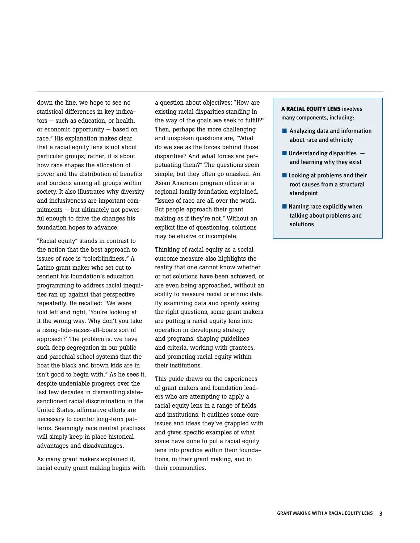down the line, we hope to see no statistical differences in key indicators — such as education, or health, or economic opportunity — based on race." His explanation makes clear that a racial equity lens is not about particular groups; rather, it is about how race shapes the allocation of power and the distribution of benefits and burdens among all groups within society. It also illustrates why diversity and inclusiveness are important commitments — but ultimately not powerful enough to drive the changes his foundation hopes to advance.

"Racial equity" stands in contrast to the notion that the best approach to issues of race is "colorblindness." A Latino grant maker who set out to reorient his foundation's education programming to address racial inequities ran up against that perspective repeatedly. He recalled: "We were told left and right, 'You're looking at it the wrong way. Why don't you take a rising-tide-raises-all-boats sort of approach?' The problem is, we have such deep segregation in our public and parochial school systems that the boat the black and brown kids are in isn't good to begin with." As he sees it, despite undeniable progress over the last few decades in dismantling statesanctioned racial discrimination in the United States, affirmative efforts are necessary to counter long-term patterns. Seemingly race neutral practices will simply keep in place historical advantages and disadvantages.

As many grant makers explained it, racial equity grant making begins with a question about objectives: "How are existing racial disparities standing in the way of the goals we seek to fulfill?" Then, perhaps the more challenging and unspoken questions are, "What do we see as the forces behind those disparities? And what forces are perpetuating them?" The questions seem simple, but they often go unasked. An Asian American program officer at a regional family foundation explained, "Issues of race are all over the work. But people approach their grant making as if they're not." Without an explicit line of questioning, solutions may be elusive or incomplete.

Thinking of racial equity as a social outcome measure also highlights the reality that one cannot know whether or not solutions have been achieved, or are even being approached, without an ability to measure racial or ethnic data. By examining data and openly asking the right questions, some grant makers are putting a racial equity lens into operation in developing strategy and programs, shaping guidelines and criteria, working with grantees, and promoting racial equity within their institutions.

This guide draws on the experiences of grant makers and foundation leaders who are attempting to apply a racial equity lens in a range of fields and institutions. It outlines some core issues and ideas they've grappled with and gives specific examples of what some have done to put a racial equity lens into practice within their foundations, in their grant making, and in their communities.

#### A RACIAL EQUITY LENS involves many components, including:

- Analyzing data and information about race and ethnicity
- $\blacksquare$  Understanding disparities  $\blacksquare$ and learning why they exist
- Looking at problems and their root causes from a structural standpoint
- $\blacksquare$  Naming race explicitly when talking about problems and solutions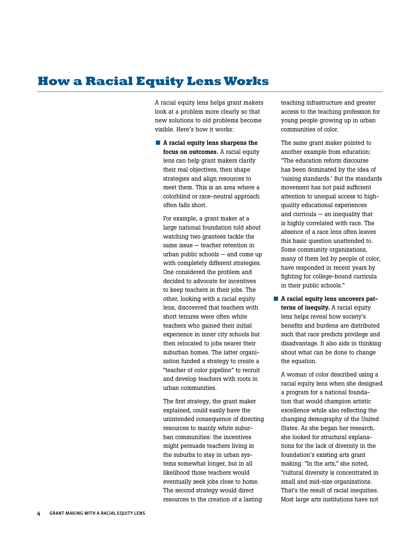## **How a Racial Equity Lens Works**

A racial equity lens helps grant makers look at a problem more clearly so that new solutions to old problems become visible. Here's how it works:

■ A racial equity lens sharpens the focus on outcomes. A racial equity lens can help grant makers clarify their real objectives, then shape strategies and align resources to meet them. This is an area where a colorblind or race-neutral approach often falls short.

For example, a grant maker at a large national foundation told about watching two grantees tackle the same issue — teacher retention in urban public schools — and come up with completely different strategies. One considered the problem and decided to advocate for incentives to keep teachers in their jobs. The other, looking with a racial equity lens, discovered that teachers with short tenures were often white teachers who gained their initial experience in inner city schools but then relocated to jobs nearer their suburban homes. The latter organization funded a strategy to create a "teacher of color pipeline" to recruit and develop teachers with roots in urban communities.

The first strategy, the grant maker explained, could easily have the unintended consequence of directing resources to mainly white suburban communities: the incentives might persuade teachers living in the suburbs to stay in urban systems somewhat longer, but in all likelihood those teachers would eventually seek jobs close to home. The second strategy would direct resources to the creation of a lasting

teaching infrastructure and greater access to the teaching profession for young people growing up in urban communities of color.

The same grant maker pointed to another example from education: "The education reform discourse has been dominated by the idea of 'raising standards.' But the standards movement has not paid sufficient attention to unequal access to highquality educational experiences and curricula — an inequality that is highly correlated with race. The absence of a race lens often leaves this basic question unattended to. Some community organizations, many of them led by people of color, have responded in recent years by fighting for college-bound curricula in their public schools."

■ A racial equity lens uncovers patterns of inequity. A racial equity lens helps reveal how society's benefits and burdens are distributed such that race predicts privilege and disadvantage. It also aids in thinking about what can be done to change the equation.

A woman of color described using a racial equity lens when she designed a program for a national foundation that would champion artistic excellence while also reflecting the changing demography of the United States. As she began her research, she looked for structural explanations for the lack of diversity in the foundation's existing arts grant making. "In the arts," she noted, "cultural diversity is concentrated in small and mid-size organizations. That's the result of racial inequities. Most large arts institutions have not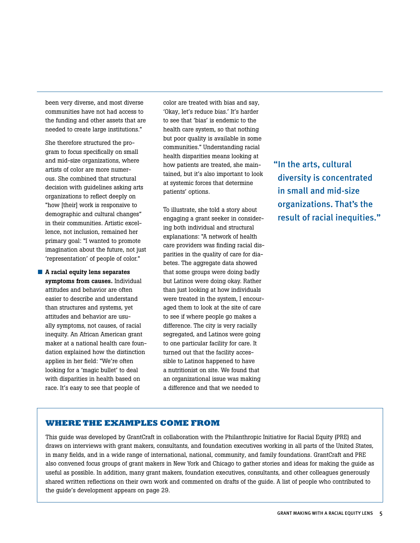been very diverse, and most diverse communities have not had access to the funding and other assets that are needed to create large institutions."

She therefore structured the program to focus specifically on small and mid-size organizations, where artists of color are more numerous. She combined that structural decision with guidelines asking arts organizations to reflect deeply on "how [their] work is responsive to demographic and cultural changes" in their communities. Artistic excellence, not inclusion, remained her primary goal: "I wanted to promote imagination about the future, not just 'representation' of people of color."

■ A racial equity lens separates symptoms from causes. Individual attitudes and behavior are often easier to describe and understand than structures and systems, yet attitudes and behavior are usually symptoms, not causes, of racial inequity. An African American grant maker at a national health care foundation explained how the distinction applies in her field: "We're often looking for a 'magic bullet' to deal with disparities in health based on race. It's easy to see that people of

color are treated with bias and say, 'Okay, let's reduce bias.' It's harder to see that 'bias' is endemic to the health care system, so that nothing but poor quality is available in some communities." Understanding racial health disparities means looking at how patients are treated, she maintained, but it's also important to look at systemic forces that determine patients' options.

To illustrate, she told a story about engaging a grant seeker in considering both individual and structural explanations: "A network of health care providers was finding racial disparities in the quality of care for diabetes. The aggregate data showed that some groups were doing badly but Latinos were doing okay. Rather than just looking at how individuals were treated in the system, I encouraged them to look at the site of care to see if where people go makes a difference. The city is very racially segregated, and Latinos were going to one particular facility for care. It turned out that the facility accessible to Latinos happened to have a nutritionist on site. We found that an organizational issue was making a difference and that we needed to

"In the arts, cultural diversity is concentrated in small and mid-size organizations. That's the result of racial inequities."

#### **WHERE THE EXAMPLES COME FROM**

This guide was developed by GrantCraft in collaboration with the Philanthropic Initiative for Racial Equity (PRE) and draws on interviews with grant makers, consultants, and foundation executives working in all parts of the United States, in many fields, and in a wide range of international, national, community, and family foundations. GrantCraft and PRE also convened focus groups of grant makers in New York and Chicago to gather stories and ideas for making the guide as useful as possible. In addition, many grant makers, foundation executives, consultants, and other colleagues generously shared written reflections on their own work and commented on drafts of the guide. A list of people who contributed to the guide's development appears on page 29.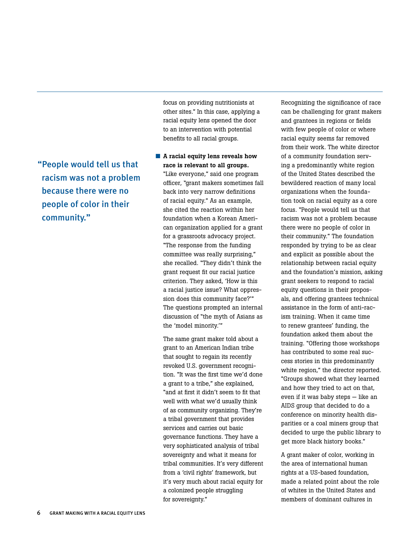"People would tell us that racism was not a problem because there were no people of color in their community."

focus on providing nutritionists at other sites." In this case, applying a racial equity lens opened the door to an intervention with potential benefits to all racial groups.

■ A racial equity lens reveals how race is relevant to all groups. "Like everyone," said one program officer, "grant makers sometimes fall back into very narrow definitions of racial equity." As an example, she cited the reaction within her foundation when a Korean American organization applied for a grant for a grassroots advocacy project. "The response from the funding committee was really surprising," she recalled. "They didn't think the grant request fit our racial justice criterion. They asked, 'How is this a racial justice issue? What oppression does this community face?'" The questions prompted an internal discussion of "the myth of Asians as the 'model minority.'"

The same grant maker told about a grant to an American Indian tribe that sought to regain its recently revoked U.S. government recognition. "It was the first time we'd done a grant to a tribe," she explained, "and at first it didn't seem to fit that well with what we'd usually think of as community organizing. They're a tribal government that provides services and carries out basic governance functions. They have a very sophisticated analysis of tribal sovereignty and what it means for tribal communities. It's very different from a 'civil rights' framework, but it's very much about racial equity for a colonized people struggling for sovereignty."

Recognizing the significance of race can be challenging for grant makers and grantees in regions or fields with few people of color or where racial equity seems far removed from their work. The white director of a community foundation serving a predominantly white region of the United States described the bewildered reaction of many local organizations when the foundation took on racial equity as a core focus. "People would tell us that racism was not a problem because there were no people of color in their community." The foundation responded by trying to be as clear and explicit as possible about the relationship between racial equity and the foundation's mission, asking grant seekers to respond to racial equity questions in their proposals, and offering grantees technical assistance in the form of anti-racism training. When it came time to renew grantees' funding, the foundation asked them about the training. "Offering those workshops has contributed to some real success stories in this predominantly white region," the director reported. "Groups showed what they learned and how they tried to act on that, even if it was baby steps — like an AIDS group that decided to do a conference on minority health disparities or a coal miners group that decided to urge the public library to get more black history books."

A grant maker of color, working in the area of international human rights at a US-based foundation, made a related point about the role of whites in the United States and members of dominant cultures in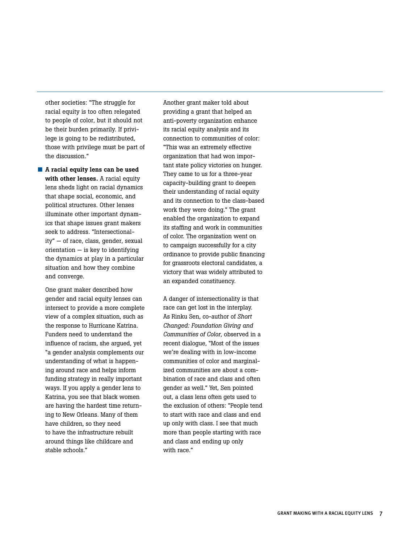other societies: "The struggle for racial equity is too often relegated to people of color, but it should not be their burden primarily. If privilege is going to be redistributed, those with privilege must be part of the discussion."

■ A racial equity lens can be used with other lenses. A racial equity lens sheds light on racial dynamics that shape social, economic, and political structures. Other lenses illuminate other important dynamics that shape issues grant makers seek to address. "Intersectionality" — of race, class, gender, sexual  $orientation - is key to identifying$ the dynamics at play in a particular situation and how they combine and converge.

One grant maker described how gender and racial equity lenses can intersect to provide a more complete view of a complex situation, such as the response to Hurricane Katrina. Funders need to understand the influence of racism, she argued, yet "a gender analysis complements our understanding of what is happening around race and helps inform funding strategy in really important ways. If you apply a gender lens to Katrina, you see that black women are having the hardest time returning to New Orleans. Many of them have children, so they need to have the infrastructure rebuilt around things like childcare and stable schools."

Another grant maker told about providing a grant that helped an anti-poverty organization enhance its racial equity analysis and its connection to communities of color: "This was an extremely effective organization that had won important state policy victories on hunger. They came to us for a three-year capacity-building grant to deepen their understanding of racial equity and its connection to the class-based work they were doing." The grant enabled the organization to expand its staffing and work in communities of color. The organization went on to campaign successfully for a city ordinance to provide public financing for grassroots electoral candidates, a victory that was widely attributed to an expanded constituency.

A danger of intersectionality is that race can get lost in the interplay. As Rinku Sen, co-author of *Short Changed: Foundation Giving and Communities of Color*, observed in a recent dialogue, "Most of the issues we're dealing with in low-income communities of color and marginalized communities are about a combination of race and class and often gender as well." Yet, Sen pointed out, a class lens often gets used to the exclusion of others: "People tend to start with race and class and end up only with class. I see that much more than people starting with race and class and ending up only with race."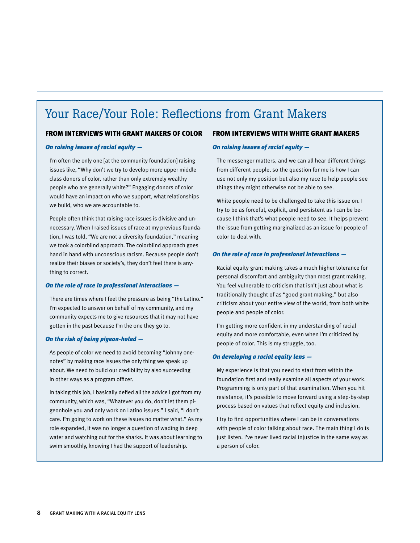## Your Race/Your Role: Reflections from Grant Makers

#### From interviews with grant makers of color

#### *On raising issues of racial equity —*

I'm often the only one [at the community foundation] raising issues like, "Why don't we try to develop more upper middle class donors of color, rather than only extremely wealthy people who are generally white?" Engaging donors of color would have an impact on who we support, what relationships we build, who we are accountable to.

People often think that raising race issues is divisive and unnecessary. When I raised issues of race at my previous foundation, I was told, "We are not a diversity foundation," meaning we took a colorblind approach. The colorblind approach goes hand in hand with unconscious racism. Because people don't realize their biases or society's, they don't feel there is anything to correct.

#### *On the role of race in professional interactions —*

There are times where I feel the pressure as being "the Latino." I'm expected to answer on behalf of my community, and my community expects me to give resources that it may not have gotten in the past because I'm the one they go to.

#### *On the risk of being pigeon-holed —*

As people of color we need to avoid becoming "Johnny onenotes" by making race issues the only thing we speak up about. We need to build our credibility by also succeeding in other ways as a program officer.

In taking this job, I basically defied all the advice I got from my community, which was, "Whatever you do, don't let them pigeonhole you and only work on Latino issues." I said, "I don't care. I'm going to work on these issues no matter what." As my role expanded, it was no longer a question of wading in deep water and watching out for the sharks. It was about learning to swim smoothly, knowing I had the support of leadership.

#### From interviews with white grant makers

#### *On raising issues of racial equity —*

The messenger matters, and we can all hear different things from different people, so the question for me is how I can use not only my position but also my race to help people see things they might otherwise not be able to see.

White people need to be challenged to take this issue on. I try to be as forceful, explicit, and persistent as I can be because I think that's what people need to see. It helps prevent the issue from getting marginalized as an issue for people of color to deal with.

#### *On the role of race in professional interactions —*

Racial equity grant making takes a much higher tolerance for personal discomfort and ambiguity than most grant making. You feel vulnerable to criticism that isn't just about what is traditionally thought of as "good grant making," but also criticism about your entire view of the world, from both white people and people of color.

I'm getting more confident in my understanding of racial equity and more comfortable, even when I'm criticized by people of color. This is my struggle, too.

#### *On developing a racial equity lens —*

My experience is that you need to start from within the foundation first and really examine all aspects of your work. Programming is only part of that examination. When you hit resistance, it's possible to move forward using a step-by-step process based on values that reflect equity and inclusion.

I try to find opportunities where I can be in conversations with people of color talking about race. The main thing I do is just listen. I've never lived racial injustice in the same way as a person of color.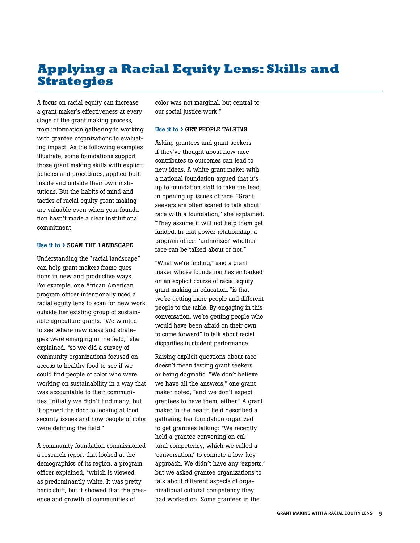## **Applying a Racial Equity Lens: Skills and Strategies**

A focus on racial equity can increase a grant maker's effectiveness at every stage of the grant making process, from information gathering to working with grantee organizations to evaluating impact. As the following examples illustrate, some foundations support those grant making skills with explicit policies and procedures, applied both inside and outside their own institutions. But the habits of mind and tactics of racial equity grant making are valuable even when your foundation hasn't made a clear institutional commitment.

#### Use it to � Scan the landscape

Understanding the "racial landscape" can help grant makers frame questions in new and productive ways. For example, one African American program officer intentionally used a racial equity lens to scan for new work outside her existing group of sustainable agriculture grants. "We wanted to see where new ideas and strategies were emerging in the field," she explained, "so we did a survey of community organizations focused on access to healthy food to see if we could find people of color who were working on sustainability in a way that was accountable to their communities. Initially we didn't find many, but it opened the door to looking at food security issues and how people of color were defining the field."

A community foundation commissioned a research report that looked at the demographics of its region, a program officer explained, "which is viewed as predominantly white. It was pretty basic stuff, but it showed that the presence and growth of communities of

color was not marginal, but central to our social justice work."

#### Use it to > GET PEOPLE TALKING

Asking grantees and grant seekers if they've thought about how race contributes to outcomes can lead to new ideas. A white grant maker with a national foundation argued that it's up to foundation staff to take the lead in opening up issues of race. "Grant seekers are often scared to talk about race with a foundation," she explained. "They assume it will not help them get funded. In that power relationship, a program officer 'authorizes' whether race can be talked about or not."

"What we're finding," said a grant maker whose foundation has embarked on an explicit course of racial equity grant making in education, "is that we're getting more people and different people to the table. By engaging in this conversation, we're getting people who would have been afraid on their own to come forward" to talk about racial disparities in student performance.

Raising explicit questions about race doesn't mean testing grant seekers or being dogmatic. "We don't believe we have all the answers," one grant maker noted, "and we don't expect grantees to have them, either." A grant maker in the health field described a gathering her foundation organized to get grantees talking: "We recently held a grantee convening on cultural competency, which we called a 'conversation,' to connote a low-key approach. We didn't have any 'experts,' but we asked grantee organizations to talk about different aspects of organizational cultural competency they had worked on. Some grantees in the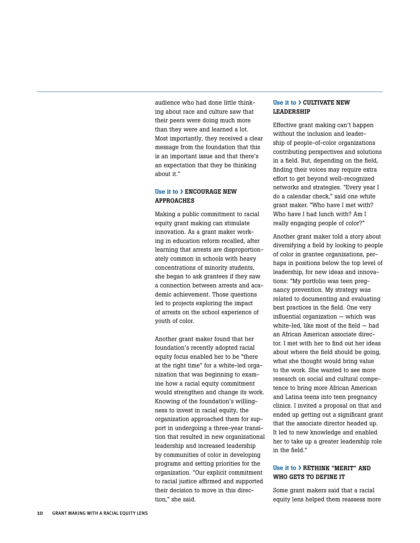audience who had done little thinking about race and culture saw that their peers were doing much more than they were and learned a lot. Most importantly, they received a clear message from the foundation that this is an important issue and that there's an expectation that they be thinking about it."

#### Use it to  $\lambda$  ENCOURAGE NEW approaches

Making a public commitment to racial equity grant making can stimulate innovation. As a grant maker working in education reform recalled, after learning that arrests are disproportionately common in schools with heavy concentrations of minority students, she began to ask grantees if they saw a connection between arrests and academic achievement. Those questions led to projects exploring the impact of arrests on the school experience of youth of color.

Another grant maker found that her foundation's recently adopted racial equity focus enabled her to be "there at the right time" for a white-led organization that was beginning to examine how a racial equity commitment would strengthen and change its work. Knowing of the foundation's willingness to invest in racial equity, the organization approached them for support in undergoing a three-year transition that resulted in new organizational leadership and increased leadership by communities of color in developing programs and setting priorities for the organization. "Our explicit commitment to racial justice affirmed and supported their decision to move in this direction," she said.

#### Use it to  $\lambda$  CULTIVATE NEW leadership

Effective grant making can't happen without the inclusion and leadership of people-of-color organizations contributing perspectives and solutions in a field. But, depending on the field, finding their voices may require extra effort to get beyond well-recognized networks and strategies. "Every year I do a calendar check," said one white grant maker. "Who have I met with? Who have I had lunch with? Am I really engaging people of color?"

Another grant maker told a story about diversifying a field by looking to people of color in grantee organizations, perhaps in positions below the top level of leadership, for new ideas and innovations: "My portfolio was teen pregnancy prevention. My strategy was related to documenting and evaluating best practices in the field. One very influential organization — which was white-led, like most of the field — had an African American associate director. I met with her to find out her ideas about where the field should be going, what she thought would bring value to the work. She wanted to see more research on social and cultural competence to bring more African American and Latina teens into teen pregnancy clinics. I invited a proposal on that and ended up getting out a significant grant that the associate director headed up. It led to new knowledge and enabled her to take up a greater leadership role in the field."

#### Use it to > RETHINK "MERIT" AND WHO GETS TO DEFINE IT

Some grant makers said that a racial equity lens helped them reassess more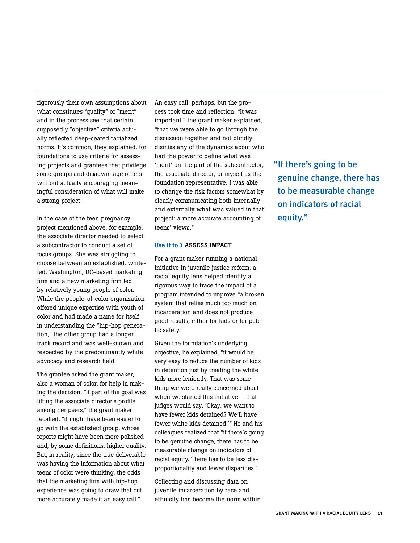rigorously their own assumptions about what constitutes "quality" or "merit" and in the process see that certain supposedly "objective" criteria actually reflected deep-seated racialized norms. It's common, they explained, for foundations to use criteria for assessing projects and grantees that privilege some groups and disadvantage others without actually encouraging meaningful consideration of what will make a strong project.

In the case of the teen pregnancy project mentioned above, for example, the associate director needed to select a subcontractor to conduct a set of focus groups. She was struggling to choose between an established, whiteled, Washington, DC-based marketing firm and a new marketing firm led by relatively young people of color. While the people-of-color organization offered unique expertise with youth of color and had made a name for itself in understanding the "hip-hop generation," the other group had a longer track record and was well-known and respected by the predominantly white advocacy and research field.

The grantee asked the grant maker, also a woman of color, for help in making the decision. "If part of the goal was lifting the associate director's profile among her peers," the grant maker recalled, "it might have been easier to go with the established group, whose reports might have been more polished and, by some definitions, higher quality. But, in reality, since the true deliverable was having the information about what teens of color were thinking, the odds that the marketing firm with hip-hop experience was going to draw that out more accurately made it an easy call."

An easy call, perhaps, but the process took time and reflection. "It was important," the grant maker explained, "that we were able to go through the discussion together and not blindly dismiss any of the dynamics about who had the power to define what was 'merit' on the part of the subcontractor, the associate director, or myself as the foundation representative. I was able to change the risk factors somewhat by clearly communicating both internally and externally what was valued in that project: a more accurate accounting of teens' views."

#### Use it to > ASSESS IMPACT

For a grant maker running a national initiative in juvenile justice reform, a racial equity lens helped identify a rigorous way to trace the impact of a program intended to improve "a broken system that relies much too much on incarceration and does not produce good results, either for kids or for public safety."

Given the foundation's underlying objective, he explained, "it would be very easy to reduce the number of kids in detention just by treating the white kids more leniently. That was something we were really concerned about when we started this initiative — that judges would say, 'Okay, we want to have fewer kids detained? We'll have fewer white kids detained.'" He and his colleagues realized that "if there's going to be genuine change, there has to be measurable change on indicators of racial equity. There has to be less disproportionality and fewer disparities."

Collecting and discussing data on juvenile incarceration by race and ethnicity has become the norm within "If there's going to be genuine change, there has to be measurable change on indicators of racial equity."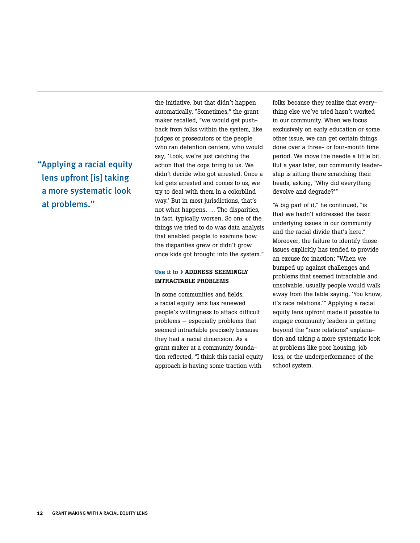"Applying a racial equity lens upfront [is] taking a more systematic look at problems."

the initiative, but that didn't happen automatically. "Sometimes," the grant maker recalled, "we would get pushback from folks within the system, like judges or prosecutors or the people who ran detention centers, who would say, 'Look, we're just catching the action that the cops bring to us. We didn't decide who got arrested. Once a kid gets arrested and comes to us, we try to deal with them in a colorblind way.' But in most jurisdictions, that's not what happens. … The disparities, in fact, typically worsen. So one of the things we tried to do was data analysis that enabled people to examine how the disparities grew or didn't grow once kids got brought into the system."

#### Use it to > ADDRESS SEEMINGLY intractable problems

In some communities and fields, a racial equity lens has renewed people's willingness to attack difficult problems — especially problems that seemed intractable precisely because they had a racial dimension. As a grant maker at a community foundation reflected, "I think this racial equity approach is having some traction with

folks because they realize that everything else we've tried hasn't worked in our community. When we focus exclusively on early education or some other issue, we can get certain things done over a three- or four-month time period. We move the needle a little bit. But a year later, our community leadership is sitting there scratching their heads, asking, 'Why did everything devolve and degrade?'"

"A big part of it," he continued, "is that we hadn't addressed the basic underlying issues in our community and the racial divide that's here." Moreover, the failure to identify those issues explicitly has tended to provide an excuse for inaction: "When we bumped up against challenges and problems that seemed intractable and unsolvable, usually people would walk away from the table saying, 'You know, it's race relations.'" Applying a racial equity lens upfront made it possible to engage community leaders in getting beyond the "race relations" explanation and taking a more systematic look at problems like poor housing, job loss, or the underperformance of the school system.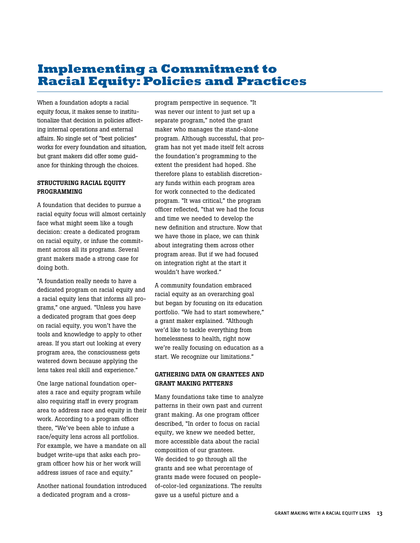## **Implementing a Commitment to Racial Equity: Policies and Practices**

When a foundation adopts a racial equity focus, it makes sense to institutionalize that decision in policies affecting internal operations and external affairs. No single set of "best policies" works for every foundation and situation, but grant makers did offer some guidance for thinking through the choices.

#### STRUCTURING RACIAL EQUITY programming

A foundation that decides to pursue a racial equity focus will almost certainly face what might seem like a tough decision: create a dedicated program on racial equity, or infuse the commitment across all its programs. Several grant makers made a strong case for doing both.

"A foundation really needs to have a dedicated program on racial equity and a racial equity lens that informs all programs," one argued. "Unless you have a dedicated program that goes deep on racial equity, you won't have the tools and knowledge to apply to other areas. If you start out looking at every program area, the consciousness gets watered down because applying the lens takes real skill and experience."

One large national foundation operates a race and equity program while also requiring staff in every program area to address race and equity in their work. According to a program officer there, "We've been able to infuse a race/equity lens across all portfolios. For example, we have a mandate on all budget write-ups that asks each program officer how his or her work will address issues of race and equity."

Another national foundation introduced a dedicated program and a crossprogram perspective in sequence. "It was never our intent to just set up a separate program," noted the grant maker who manages the stand-alone program. Although successful, that program has not yet made itself felt across the foundation's programming to the extent the president had hoped. She therefore plans to establish discretionary funds within each program area for work connected to the dedicated program. "It was critical," the program officer reflected, "that we had the focus and time we needed to develop the new definition and structure. Now that we have those in place, we can think about integrating them across other program areas. But if we had focused on integration right at the start it wouldn't have worked."

A community foundation embraced racial equity as an overarching goal but began by focusing on its education portfolio. "We had to start somewhere," a grant maker explained. "Although we'd like to tackle everything from homelessness to health, right now we're really focusing on education as a start. We recognize our limitations."

#### GATHERING DATA ON GRANTEES AND grant making patterns

Many foundations take time to analyze patterns in their own past and current grant making. As one program officer described, "In order to focus on racial equity, we knew we needed better, more accessible data about the racial composition of our grantees. We decided to go through all the grants and see what percentage of grants made were focused on peopleof-color-led organizations. The results gave us a useful picture and a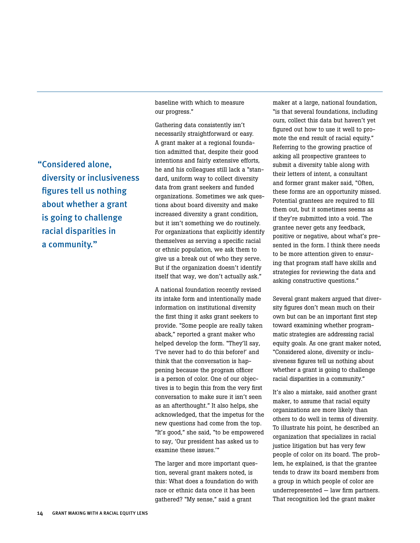baseline with which to measure our progress."

Gathering data consistently isn't necessarily straightforward or easy. A grant maker at a regional foundation admitted that, despite their good intentions and fairly extensive efforts, he and his colleagues still lack a "standard, uniform way to collect diversity data from grant seekers and funded organizations. Sometimes we ask questions about board diversity and make increased diversity a grant condition, but it isn't something we do routinely. For organizations that explicitly identify themselves as serving a specific racial or ethnic population, we ask them to give us a break out of who they serve. But if the organization doesn't identify itself that way, we don't actually ask."

A national foundation recently revised its intake form and intentionally made information on institutional diversity the first thing it asks grant seekers to provide. "Some people are really taken aback," reported a grant maker who helped develop the form. "They'll say, 'I've never had to do this before!' and think that the conversation is happening because the program officer is a person of color. One of our objectives is to begin this from the very first conversation to make sure it isn't seen as an afterthought." It also helps, she acknowledged, that the impetus for the new questions had come from the top. "It's good," she said, "to be empowered to say, 'Our president has asked us to examine these issues.'"

The larger and more important question, several grant makers noted, is this: What does a foundation do with race or ethnic data once it has been gathered? "My sense," said a grant

maker at a large, national foundation, "is that several foundations, including ours, collect this data but haven't yet figured out how to use it well to promote the end result of racial equity." Referring to the growing practice of asking all prospective grantees to submit a diversity table along with their letters of intent, a consultant and former grant maker said, "Often, these forms are an opportunity missed. Potential grantees are required to fill them out, but it sometimes seems as if they're submitted into a void. The grantee never gets any feedback, positive or negative, about what's presented in the form. I think there needs to be more attention given to ensuring that program staff have skills and strategies for reviewing the data and asking constructive questions."

Several grant makers argued that diversity figures don't mean much on their own but can be an important first step toward examining whether programmatic strategies are addressing racial equity goals. As one grant maker noted, "Considered alone, diversity or inclusiveness figures tell us nothing about whether a grant is going to challenge racial disparities in a community."

It's also a mistake, said another grant maker, to assume that racial equity organizations are more likely than others to do well in terms of diversity. To illustrate his point, he described an organization that specializes in racial justice litigation but has very few people of color on its board. The problem, he explained, is that the grantee tends to draw its board members from a group in which people of color are underrepresented — law firm partners. That recognition led the grant maker

"Considered alone, diversity or inclusiveness figures tell us nothing about whether a grant is going to challenge racial disparities in a community."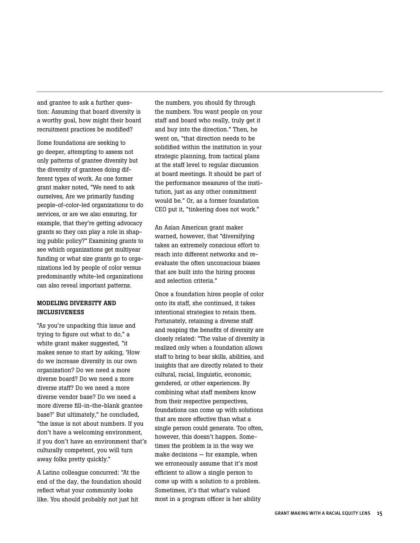and grantee to ask a further question: Assuming that board diversity is a worthy goal, how might their board recruitment practices be modified?

Some foundations are seeking to go deeper, attempting to assess not only patterns of grantee diversity but the diversity of grantees doing different types of work. As one former grant maker noted, "We need to ask ourselves, Are we primarily funding people-of-color-led organizations to do services, or are we also ensuring, for example, that they're getting advocacy grants so they can play a role in shaping public policy?" Examining grants to see which organizations get multiyear funding or what size grants go to organizations led by people of color versus predominantly white-led organizations can also reveal important patterns.

#### Modeling Diversity and Inclusiveness

"As you're unpacking this issue and trying to figure out what to do," a white grant maker suggested, "it makes sense to start by asking, 'How do we increase diversity in our own organization? Do we need a more diverse board? Do we need a more diverse staff? Do we need a more diverse vendor base? Do we need a more diverse fill-in-the-blank grantee base?' But ultimately," he concluded, "the issue is not about numbers. If you don't have a welcoming environment, if you don't have an environment that's culturally competent, you will turn away folks pretty quickly."

A Latino colleague concurred: "At the end of the day, the foundation should reflect what your community looks like. You should probably not just hit

the numbers, you should fly through the numbers. You want people on your staff and board who really, truly get it and buy into the direction." Then, he went on, "that direction needs to be solidified within the institution in your strategic planning, from tactical plans at the staff level to regular discussion at board meetings. It should be part of the performance measures of the institution, just as any other commitment would be." Or, as a former foundation CEO put it, "tinkering does not work."

An Asian American grant maker warned, however, that "diversifying takes an extremely conscious effort to reach into different networks and reevaluate the often unconscious biases that are built into the hiring process and selection criteria."

Once a foundation hires people of color onto its staff, she continued, it takes intentional strategies to retain them. Fortunately, retaining a diverse staff and reaping the benefits of diversity are closely related: "The value of diversity is realized only when a foundation allows staff to bring to bear skills, abilities, and insights that are directly related to their cultural, racial, linguistic, economic, gendered, or other experiences. By combining what staff members know from their respective perspectives, foundations can come up with solutions that are more effective than what a single person could generate. Too often, however, this doesn't happen. Sometimes the problem is in the way we make decisions — for example, when we erroneously assume that it's most efficient to allow a single person to come up with a solution to a problem. Sometimes, it's that what's valued most in a program officer is her ability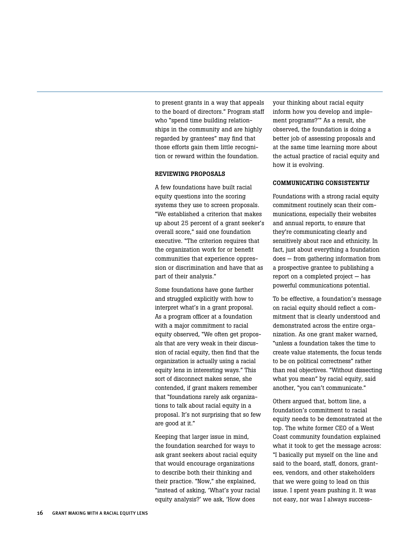to present grants in a way that appeals to the board of directors." Program staff who "spend time building relationships in the community and are highly regarded by grantees" may find that those efforts gain them little recognition or reward within the foundation.

#### Reviewing proposals

A few foundations have built racial equity questions into the scoring systems they use to screen proposals. "We established a criterion that makes up about 25 percent of a grant seeker's overall score," said one foundation executive. "The criterion requires that the organization work for or benefit communities that experience oppression or discrimination and have that as part of their analysis."

Some foundations have gone farther and struggled explicitly with how to interpret what's in a grant proposal. As a program officer at a foundation with a major commitment to racial equity observed, "We often get proposals that are very weak in their discussion of racial equity, then find that the organization is actually using a racial equity lens in interesting ways." This sort of disconnect makes sense, she contended, if grant makers remember that "foundations rarely ask organizations to talk about racial equity in a proposal. It's not surprising that so few are good at it."

Keeping that larger issue in mind, the foundation searched for ways to ask grant seekers about racial equity that would encourage organizations to describe both their thinking and their practice. "Now," she explained, "instead of asking, 'What's your racial equity analysis?' we ask, 'How does

your thinking about racial equity inform how you develop and implement programs?'" As a result, she observed, the foundation is doing a better job of assessing proposals and at the same time learning more about the actual practice of racial equity and how it is evolving.

#### Communicating consistently

Foundations with a strong racial equity commitment routinely scan their communications, especially their websites and annual reports, to ensure that they're communicating clearly and sensitively about race and ethnicity. In fact, just about everything a foundation does — from gathering information from a prospective grantee to publishing a report on a completed project — has powerful communications potential.

To be effective, a foundation's message on racial equity should reflect a commitment that is clearly understood and demonstrated across the entire organization. As one grant maker warned, "unless a foundation takes the time to create value statements, the focus tends to be on political correctness" rather than real objectives. "Without dissecting what you mean" by racial equity, said another, "you can't communicate."

Others argued that, bottom line, a foundation's commitment to racial equity needs to be demonstrated at the top. The white former CEO of a West Coast community foundation explained what it took to get the message across: "I basically put myself on the line and said to the board, staff, donors, grantees, vendors, and other stakeholders that we were going to lead on this issue. I spent years pushing it. It was not easy, nor was I always success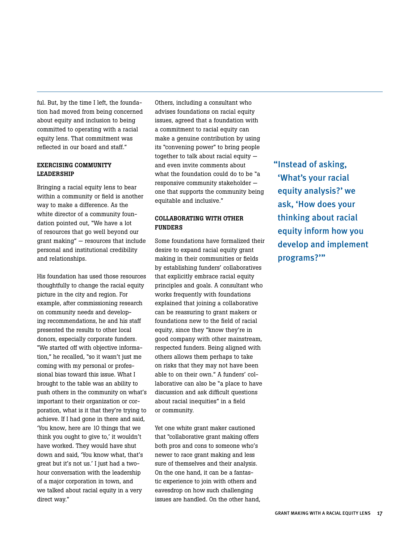ful. But, by the time I left, the foundation had moved from being concerned about equity and inclusion to being committed to operating with a racial equity lens. That commitment was reflected in our board and staff."

#### Exercising community leadership

Bringing a racial equity lens to bear within a community or field is another way to make a difference. As the white director of a community foundation pointed out, "We have a lot of resources that go well beyond our grant making" — resources that include personal and institutional credibility and relationships.

His foundation has used those resources thoughtfully to change the racial equity picture in the city and region. For example, after commissioning research on community needs and developing recommendations, he and his staff presented the results to other local donors, especially corporate funders. "We started off with objective information," he recalled, "so it wasn't just me coming with my personal or professional bias toward this issue. What I brought to the table was an ability to push others in the community on what's important to their organization or corporation, what is it that they're trying to achieve. If I had gone in there and said, 'You know, here are 10 things that we think you ought to give to,' it wouldn't have worked. They would have shut down and said, 'You know what, that's great but it's not us.' I just had a twohour conversation with the leadership of a major corporation in town, and we talked about racial equity in a very direct way."

Others, including a consultant who advises foundations on racial equity issues, agreed that a foundation with a commitment to racial equity can make a genuine contribution by using its "convening power" to bring people together to talk about racial equity  $$ and even invite comments about what the foundation could do to be "a responsive community stakeholder one that supports the community being equitable and inclusive."

#### Collaborating with other **FUNDERS**

Some foundations have formalized their desire to expand racial equity grant making in their communities or fields by establishing funders' collaboratives that explicitly embrace racial equity principles and goals. A consultant who works frequently with foundations explained that joining a collaborative can be reassuring to grant makers or foundations new to the field of racial equity, since they "know they're in good company with other mainstream, respected funders. Being aligned with others allows them perhaps to take on risks that they may not have been able to on their own." A funders' collaborative can also be "a place to have discussion and ask difficult questions about racial inequities" in a field or community.

Yet one white grant maker cautioned that "collaborative grant making offers both pros and cons to someone who's newer to race grant making and less sure of themselves and their analysis. On the one hand, it can be a fantastic experience to join with others and eavesdrop on how such challenging issues are handled. On the other hand, "Instead of asking, 'What's your racial equity analysis?' we ask, 'How does your thinking about racial equity inform how you develop and implement programs?'"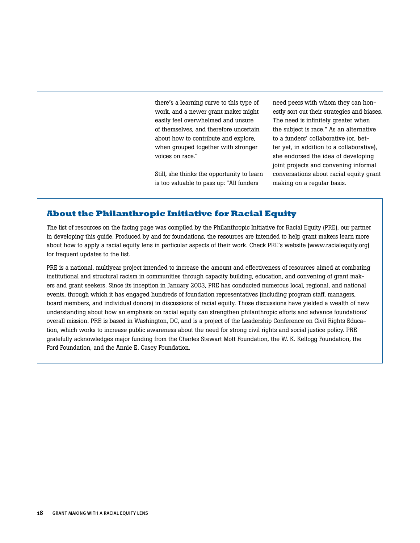there's a learning curve to this type of work, and a newer grant maker might easily feel overwhelmed and unsure of themselves, and therefore uncertain about how to contribute and explore, when grouped together with stronger voices on race."

Still, she thinks the opportunity to learn is too valuable to pass up: "All funders

need peers with whom they can honestly sort out their strategies and biases. The need is infinitely greater when the subject is race." As an alternative to a funders' collaborative (or, better yet, in addition to a collaborative), she endorsed the idea of developing joint projects and convening informal conversations about racial equity grant making on a regular basis.

#### **About the Philanthropic Initiative for Racial Equity**

The list of resources on the facing page was compiled by the Philanthropic Initiative for Racial Equity (PRE), our partner in developing this guide. Produced by and for foundations, the resources are intended to help grant makers learn more about how to apply a racial equity lens in particular aspects of their work. Check PRE's website (www.racialequity.org) for frequent updates to the list.

PRE is a national, multiyear project intended to increase the amount and effectiveness of resources aimed at combating institutional and structural racism in communities through capacity building, education, and convening of grant makers and grant seekers. Since its inception in January 2003, PRE has conducted numerous local, regional, and national events, through which it has engaged hundreds of foundation representatives (including program staff, managers, board members, and individual donors) in discussions of racial equity. Those discussions have yielded a wealth of new understanding about how an emphasis on racial equity can strengthen philanthropic efforts and advance foundations' overall mission. PRE is based in Washington, DC, and is a project of the Leadership Conference on Civil Rights Education, which works to increase public awareness about the need for strong civil rights and social justice policy. PRE gratefully acknowledges major funding from the Charles Stewart Mott Foundation, the W. K. Kellogg Foundation, the Ford Foundation, and the Annie E. Casey Foundation.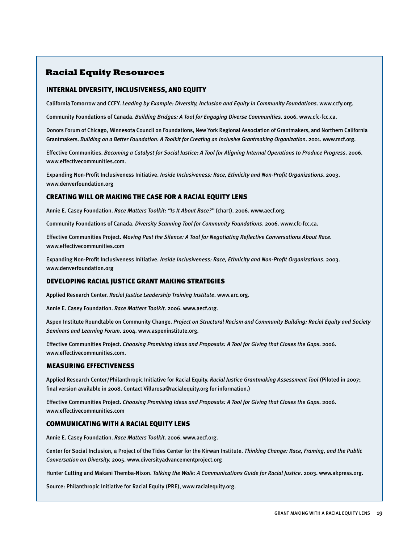#### **Racial Equity Resources**

#### INTERNAL DIVERSITY, INCLUSIVENESS, AND EQUITY

California Tomorrow and CCFY. *Leading by Example: Diversity, Inclusion and Equity in Community Foundations*. www.ccfy.org.

Community Foundations of Canada. *Building Bridges: A Tool for Engaging Diverse Communities*. 2006. www.cfc-fcc.ca.

Donors Forum of Chicago, Minnesota Council on Foundations, New York Regional Association of Grantmakers, and Northern California Grantmakers. *Building on a Better Foundation: A Toolkit for Creating an Inclusive Grantmaking Organization*. 2001. www.mcf.org.

Effective Communities. *Becoming a Catalyst for Social Justice: A Tool for Aligning Internal Operations to Produce Progress*. 2006. www.effectivecommunities.com.

Expanding Non-Profit Inclusiveness Initiative. *Inside Inclusiveness: Race, Ethnicity and Non-Profit Organizations*. 2003. www.denverfoundation.org

#### CREATING WILL OR MAKING THE CASE FOR A RACIAL EQUITY LENS

Annie E. Casey Foundation. *Race Matters Toolkit: "Is It About Race?"* (chart). 2006. www.aecf.org.

Community Foundations of Canada. *Diversity Scanning Tool for Community Foundations*. 2006. www.cfc-fcc.ca.

Effective Communities Project. *Moving Past the Silence: A Tool for Negotiating Reflective Conversations About Race*. www.effectivecommunities.com

Expanding Non-Profit Inclusiveness Initiative. *Inside Inclusiveness: Race, Ethnicity and Non-Profit Organizations*. 2003. www.denverfoundation.org

#### DEVELOPING RACIAL JUSTICE GRANT MAKING STRATEGIES

Applied Research Center. *Racial Justice Leadership Training Institute*. www.arc.org.

Annie E. Casey Foundation. *Race Matters Toolkit*. 2006. www.aecf.org.

Aspen Institute Roundtable on Community Change. *Project on Structural Racism and Community Building: Racial Equity and Society Seminars and Learning Forum*. 2004. www.aspeninstitute.org.

Effective Communities Project. *Choosing Promising Ideas and Proposals: A Tool for Giving that Closes the Gaps*. 2006. www.effectivecommunities.com.

#### MEASURING EFFECTIVENESS

Applied Research Center/Philanthropic Initiative for Racial Equity. *Racial Justice Grantmaking Assessment Tool* (Piloted in 2007; final version available in 2008. Contact Villarosa@racialequity.org for information.)

Effective Communities Project. *Choosing Promising Ideas and Proposals: A Tool for Giving that Closes the Gaps*. 2006. www.effectivecommunities.com

#### COMMUNICATING WITH A RACIAL EQUITY LENS

Annie E. Casey Foundation. *Race Matters Toolkit*. 2006. www.aecf.org.

Center for Social Inclusion, a Project of the Tides Center for the Kirwan Institute. *Thinking Change: Race, Framing, and the Public Conversation on Diversity.* 2005. www.diversityadvancementproject.org

Hunter Cutting and Makani Themba-Nixon. *Talking the Walk: A Communications Guide for Racial Justice*. 2003. www.akpress.org.

Source: Philanthropic Initiative for Racial Equity (PRE), www.racialequity.org.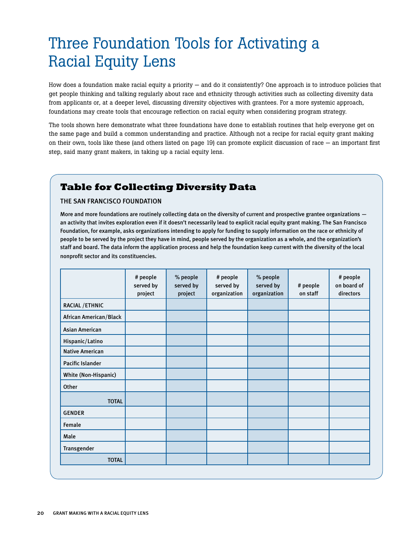## Three Foundation Tools for Activating a Racial Equity Lens

How does a foundation make racial equity a priority — and do it consistently? One approach is to introduce policies that get people thinking and talking regularly about race and ethnicity through activities such as collecting diversity data from applicants or, at a deeper level, discussing diversity objectives with grantees. For a more systemic approach, foundations may create tools that encourage reflection on racial equity when considering program strategy.

The tools shown here demonstrate what three foundations have done to establish routines that help everyone get on the same page and build a common understanding and practice. Although not a recipe for racial equity grant making on their own, tools like these (and others listed on page 19) can promote explicit discussion of race — an important first step, said many grant makers, in taking up a racial equity lens.

## **Table for Collecting Diversity Data**

#### THE San Francisco Foundation

More and more foundations are routinely collecting data on the diversity of current and prospective grantee organizations an activity that invites exploration even if it doesn't necessarily lead to explicit racial equity grant making. The San Francisco Foundation, for example, asks organizations intending to apply for funding to supply information on the race or ethnicity of people to be served by the project they have in mind, people served by the organization as a whole, and the organization's staff and board. The data inform the application process and help the foundation keep current with the diversity of the local nonprofit sector and its constituencies.

|                        | # people<br>served by<br>project | % people<br>served by<br>project | # people<br>served by<br>organization | % people<br>served by<br>organization | # people<br>on staff | # people<br>on board of<br>directors |
|------------------------|----------------------------------|----------------------------------|---------------------------------------|---------------------------------------|----------------------|--------------------------------------|
| RACIAL / ETHNIC        |                                  |                                  |                                       |                                       |                      |                                      |
| African American/Black |                                  |                                  |                                       |                                       |                      |                                      |
| <b>Asian American</b>  |                                  |                                  |                                       |                                       |                      |                                      |
| Hispanic/Latino        |                                  |                                  |                                       |                                       |                      |                                      |
| <b>Native American</b> |                                  |                                  |                                       |                                       |                      |                                      |
| Pacific Islander       |                                  |                                  |                                       |                                       |                      |                                      |
| White (Non-Hispanic)   |                                  |                                  |                                       |                                       |                      |                                      |
| Other                  |                                  |                                  |                                       |                                       |                      |                                      |
| <b>TOTAL</b>           |                                  |                                  |                                       |                                       |                      |                                      |
| <b>GENDER</b>          |                                  |                                  |                                       |                                       |                      |                                      |
| Female                 |                                  |                                  |                                       |                                       |                      |                                      |
| Male                   |                                  |                                  |                                       |                                       |                      |                                      |
| Transgender            |                                  |                                  |                                       |                                       |                      |                                      |
| <b>TOTAL</b>           |                                  |                                  |                                       |                                       |                      |                                      |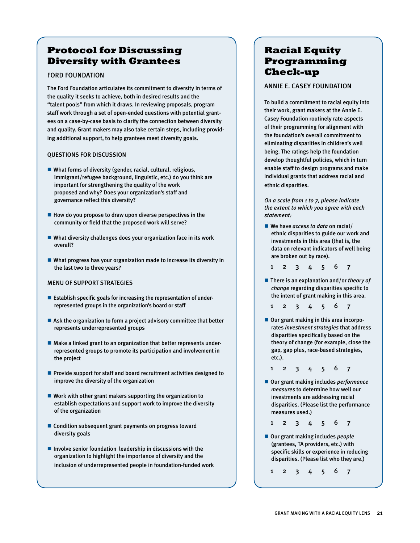### **Protocol for Discussing Diversity with Grantees**

#### Ford Foundation

The Ford Foundation articulates its commitment to diversity in terms of the quality it seeks to achieve, both in desired results and the "talent pools" from which it draws. In reviewing proposals, program staff work through a set of open-ended questions with potential grantees on a case-by-case basis to clarify the connection between diversity and quality. Grant makers may also take certain steps, including providing additional support, to help grantees meet diversity goals.

#### Questions for discussion

- $\blacksquare$  What forms of diversity (gender, racial, cultural, religious, immigrant/refugee background, linguistic, etc.) do you think are important for strengthening the quality of the work proposed and why? Does your organization's staff and governance reflect this diversity?
- $\blacksquare$  How do you propose to draw upon diverse perspectives in the community or field that the proposed work will serve?
- $\blacksquare$  What diversity challenges does your organization face in its work overall?
- $\blacksquare$  What progress has your organization made to increase its diversity in the last two to three years?

#### Menu of support strategies

- Establish specific goals for increasing the representation of underrepresented groups in the organization's board or staff
- $\blacksquare$  Ask the organization to form a project advisory committee that better represents underrepresented groups
- $\blacksquare$  Make a linked grant to an organization that better represents underrepresented groups to promote its participation and involvement in the project
- **Provide support for staff and board recruitment activities designed to** improve the diversity of the organization
- $\blacksquare$  Work with other grant makers supporting the organization to establish expectations and support work to improve the diversity of the organization
- Condition subsequent grant payments on progress toward diversity goals
- $\blacksquare$  Involve senior foundation leadership in discussions with the organization to highlight the importance of diversity and the inclusion of underrepresented people in foundation-funded work

### **Racial Equity Programming Check-up**

#### Annie E. Casey Foundation

To build a commitment to racial equity into their work, grant makers at the Annie E. Casey Foundation routinely rate aspects of their programming for alignment with the foundation's overall commitment to eliminating disparities in children's well being. The ratings help the foundation develop thoughtful policies, which in turn enable staff to design programs and make individual grants that address racial and ethnic disparities.

*On a scale from 1 to 7, please indicate the extent to which you agree with each statement:*

- We have *access to data* on racial/ ethnic disparities to guide our work and investments in this area (that is, the data on relevant indicators of well being are broken out by race).
	- 1 2 3 4 5 6 7
- There is an explanation and/or *theory of change* regarding disparities specific to the intent of grant making in this area.
- 1 2 3 4 5 6 7
- Our grant making in this area incorporates *investment strategies* that address disparities specifically based on the theory of change (for example, close the gap, gap plus, race-based strategies, etc.).

1 2 3 4 5 6 7

■ Our grant making includes *performance measures* to determine how well our investments are addressing racial disparities. (Please list the performance measures used.)

1 2 3 4 5 6 7

- Our grant making includes *people* (grantees, TA providers, etc.) with specific skills or experience in reducing disparities. (Please list who they are.)
	- 1 2 3 4 5 6 7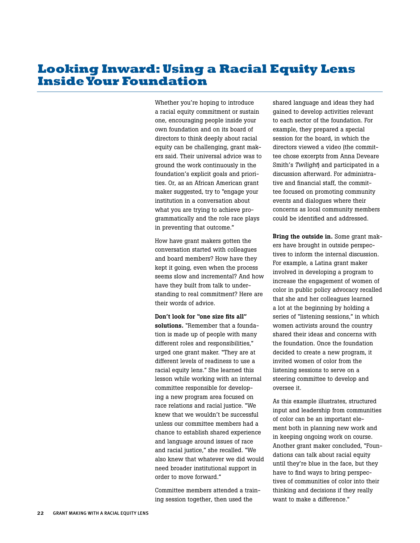## **Looking Inward: Using a Racial Equity Lens Inside Your Foundation**

Whether you're hoping to introduce a racial equity commitment or sustain one, encouraging people inside your own foundation and on its board of directors to think deeply about racial equity can be challenging, grant makers said. Their universal advice was to ground the work continuously in the foundation's explicit goals and priorities. Or, as an African American grant maker suggested, try to "engage your institution in a conversation about what you are trying to achieve programmatically and the role race plays in preventing that outcome."

How have grant makers gotten the conversation started with colleagues and board members? How have they kept it going, even when the process seems slow and incremental? And how have they built from talk to understanding to real commitment? Here are their words of advice.

Don't look for "one size fits all" solutions. "Remember that a foundation is made up of people with many different roles and responsibilities," urged one grant maker. "They are at different levels of readiness to use a racial equity lens." She learned this lesson while working with an internal committee responsible for developing a new program area focused on race relations and racial justice. "We knew that we wouldn't be successful unless our committee members had a chance to establish shared experience and language around issues of race and racial justice," she recalled. "We also knew that whatever we did would need broader institutional support in order to move forward."

Committee members attended a training session together, then used the

shared language and ideas they had gained to develop activities relevant to each sector of the foundation. For example, they prepared a special session for the board, in which the directors viewed a video (the committee chose excerpts from Anna Deveare Smith's *Twilight*) and participated in a discussion afterward. For administrative and financial staff, the committee focused on promoting community events and dialogues where their concerns as local community members could be identified and addressed.

Bring the outside in. Some grant makers have brought in outside perspectives to inform the internal discussion. For example, a Latina grant maker involved in developing a program to increase the engagement of women of color in public policy advocacy recalled that she and her colleagues learned a lot at the beginning by holding a series of "listening sessions," in which women activists around the country shared their ideas and concerns with the foundation. Once the foundation decided to create a new program, it invited women of color from the listening sessions to serve on a steering committee to develop and oversee it.

As this example illustrates, structured input and leadership from communities of color can be an important element both in planning new work and in keeping ongoing work on course. Another grant maker concluded, "Foundations can talk about racial equity until they're blue in the face, but they have to find ways to bring perspectives of communities of color into their thinking and decisions if they really want to make a difference."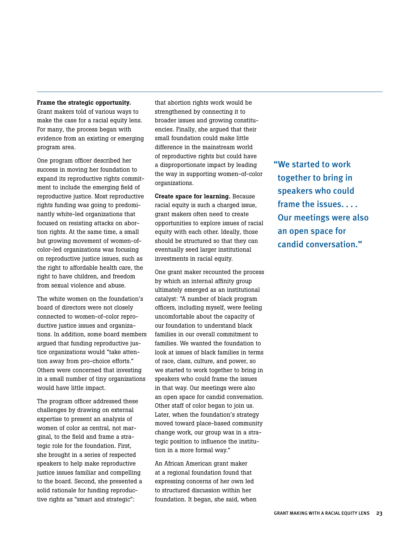#### Frame the strategic opportunity.

Grant makers told of various ways to make the case for a racial equity lens. For many, the process began with evidence from an existing or emerging program area.

One program officer described her success in moving her foundation to expand its reproductive rights commitment to include the emerging field of reproductive justice. Most reproductive rights funding was going to predominantly white-led organizations that focused on resisting attacks on abortion rights. At the same time, a small but growing movement of women-ofcolor-led organizations was focusing on reproductive justice issues, such as the right to affordable health care, the right to have children, and freedom from sexual violence and abuse.

The white women on the foundation's board of directors were not closely connected to women-of-color reproductive justice issues and organizations. In addition, some board members argued that funding reproductive justice organizations would "take attention away from pro-choice efforts." Others were concerned that investing in a small number of tiny organizations would have little impact.

The program officer addressed these challenges by drawing on external expertise to present an analysis of women of color as central, not marginal, to the field and frame a strategic role for the foundation. First, she brought in a series of respected speakers to help make reproductive justice issues familiar and compelling to the board. Second, she presented a solid rationale for funding reproductive rights as "smart and strategic":

that abortion rights work would be strengthened by connecting it to broader issues and growing constituencies. Finally, she argued that their small foundation could make little difference in the mainstream world of reproductive rights but could have a disproportionate impact by leading the way in supporting women-of-color organizations.

Create space for learning. Because racial equity is such a charged issue, grant makers often need to create opportunities to explore issues of racial equity with each other. Ideally, those should be structured so that they can eventually seed larger institutional investments in racial equity.

One grant maker recounted the process by which an internal affinity group ultimately emerged as an institutional catalyst: "A number of black program officers, including myself, were feeling uncomfortable about the capacity of our foundation to understand black families in our overall commitment to families. We wanted the foundation to look at issues of black families in terms of race, class, culture, and power, so we started to work together to bring in speakers who could frame the issues in that way. Our meetings were also an open space for candid conversation. Other staff of color began to join us. Later, when the foundation's strategy moved toward place-based community change work, our group was in a strategic position to influence the institution in a more formal way."

An African American grant maker at a regional foundation found that expressing concerns of her own led to structured discussion within her foundation. It began, she said, when "We started to work together to bring in speakers who could frame the issues. . . . Our meetings were also an open space for candid conversation."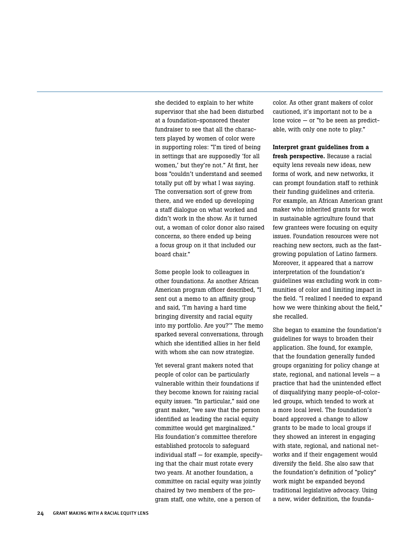she decided to explain to her white supervisor that she had been disturbed at a foundation-sponsored theater fundraiser to see that all the characters played by women of color were in supporting roles: "I'm tired of being in settings that are supposedly 'for all women,' but they're not." At first, her boss "couldn't understand and seemed totally put off by what I was saying. The conversation sort of grew from there, and we ended up developing a staff dialogue on what worked and didn't work in the show. As it turned out, a woman of color donor also raised concerns, so there ended up being a focus group on it that included our board chair."

Some people look to colleagues in other foundations. As another African American program officer described, "I sent out a memo to an affinity group and said, 'I'm having a hard time bringing diversity and racial equity into my portfolio. Are you?'" The memo sparked several conversations, through which she identified allies in her field with whom she can now strategize.

Yet several grant makers noted that people of color can be particularly vulnerable within their foundations if they become known for raising racial equity issues. "In particular," said one grant maker, "we saw that the person identified as leading the racial equity committee would get marginalized." His foundation's committee therefore established protocols to safeguard individual staff — for example, specifying that the chair must rotate every two years. At another foundation, a committee on racial equity was jointly chaired by two members of the program staff, one white, one a person of

color. As other grant makers of color cautioned, it's important not to be a lone voice — or "to be seen as predictable, with only one note to play."

Interpret grant guidelines from a fresh perspective. Because a racial equity lens reveals new ideas, new forms of work, and new networks, it can prompt foundation staff to rethink their funding guidelines and criteria. For example, an African American grant maker who inherited grants for work in sustainable agriculture found that few grantees were focusing on equity issues. Foundation resources were not reaching new sectors, such as the fastgrowing population of Latino farmers. Moreover, it appeared that a narrow interpretation of the foundation's guidelines was excluding work in communities of color and limiting impact in the field. "I realized I needed to expand how we were thinking about the field," she recalled.

She began to examine the foundation's guidelines for ways to broaden their application. She found, for example, that the foundation generally funded groups organizing for policy change at state, regional, and national levels — a practice that had the unintended effect of disqualifying many people-of-colorled groups, which tended to work at a more local level. The foundation's board approved a change to allow grants to be made to local groups if they showed an interest in engaging with state, regional, and national networks and if their engagement would diversify the field. She also saw that the foundation's definition of "policy" work might be expanded beyond traditional legislative advocacy. Using a new, wider definition, the founda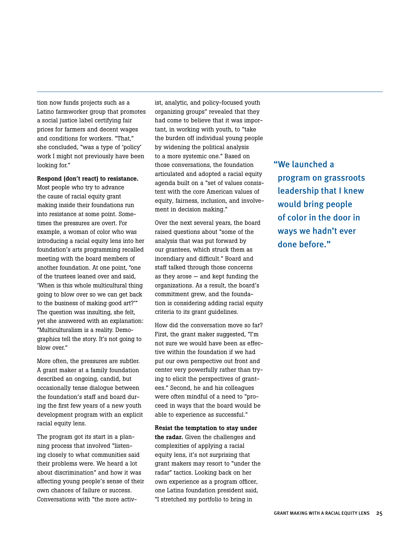tion now funds projects such as a Latino farmworker group that promotes a social justice label certifying fair prices for farmers and decent wages and conditions for workers. "That," she concluded, "was a type of 'policy' work I might not previously have been looking for."

#### Respond (don't react) to resistance.

Most people who try to advance the cause of racial equity grant making inside their foundations run into resistance at some point. Sometimes the pressures are overt. For example, a woman of color who was introducing a racial equity lens into her foundation's arts programming recalled meeting with the board members of another foundation. At one point, "one of the trustees leaned over and said, 'When is this whole multicultural thing going to blow over so we can get back to the business of making good art?'" The question was insulting, she felt, yet she answered with an explanation: "Multiculturalism is a reality. Demographics tell the story. It's not going to blow over."

More often, the pressures are subtler. A grant maker at a family foundation described an ongoing, candid, but occasionally tense dialogue between the foundation's staff and board during the first few years of a new youth development program with an explicit racial equity lens.

The program got its start in a planning process that involved "listening closely to what communities said their problems were. We heard a lot about discrimination" and how it was affecting young people's sense of their own chances of failure or success. Conversations with "the more activist, analytic, and policy-focused youth organizing groups" revealed that they had come to believe that it was important, in working with youth, to "take the burden off individual young people by widening the political analysis to a more systemic one." Based on those conversations, the foundation articulated and adopted a racial equity agenda built on a "set of values consistent with the core American values of equity, fairness, inclusion, and involvement in decision making."

Over the next several years, the board raised questions about "some of the analysis that was put forward by our grantees, which struck them as incendiary and difficult." Board and staff talked through those concerns as they arose — and kept funding the organizations. As a result, the board's commitment grew, and the foundation is considering adding racial equity criteria to its grant guidelines.

How did the conversation move so far? First, the grant maker suggested, "I'm not sure we would have been as effective within the foundation if we had put our own perspective out front and center very powerfully rather than trying to elicit the perspectives of grantees." Second, he and his colleagues were often mindful of a need to "proceed in ways that the board would be able to experience as successful."

Resist the temptation to stay under the radar. Given the challenges and complexities of applying a racial equity lens, it's not surprising that grant makers may resort to "under the radar" tactics. Looking back on her own experience as a program officer, one Latina foundation president said, "I stretched my portfolio to bring in

"We launched a program on grassroots leadership that I knew would bring people of color in the door in ways we hadn't ever done before."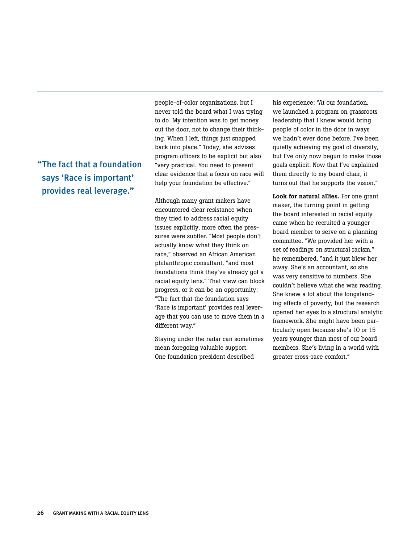"The fact that a foundation says 'Race is important' provides real leverage."

people-of-color organizations, but I never told the board what I was trying to do. My intention was to get money out the door, not to change their thinking. When I left, things just snapped back into place." Today, she advises program officers to be explicit but also "very practical. You need to present clear evidence that a focus on race will help your foundation be effective."

Although many grant makers have encountered clear resistance when they tried to address racial equity issues explicitly, more often the pressures were subtler. "Most people don't actually know what they think on race," observed an African American philanthropic consultant, "and most foundations think they've already got a racial equity lens." That view can block progress, or it can be an opportunity: "The fact that the foundation says 'Race is important' provides real leverage that you can use to move them in a different way."

Staying under the radar can sometimes mean foregoing valuable support. One foundation president described

his experience: "At our foundation, we launched a program on grassroots leadership that I knew would bring people of color in the door in ways we hadn't ever done before. I've been quietly achieving my goal of diversity, but I've only now begun to make those goals explicit. Now that I've explained them directly to my board chair, it turns out that he supports the vision."

Look for natural allies. For one grant maker, the turning point in getting the board interested in racial equity came when he recruited a younger board member to serve on a planning committee. "We provided her with a set of readings on structural racism," he remembered, "and it just blew her away. She's an accountant, so she was very sensitive to numbers. She couldn't believe what she was reading. She knew a lot about the longstanding effects of poverty, but the research opened her eyes to a structural analytic framework. She might have been particularly open because she's 10 or 15 years younger than most of our board members. She's living in a world with greater cross-race comfort."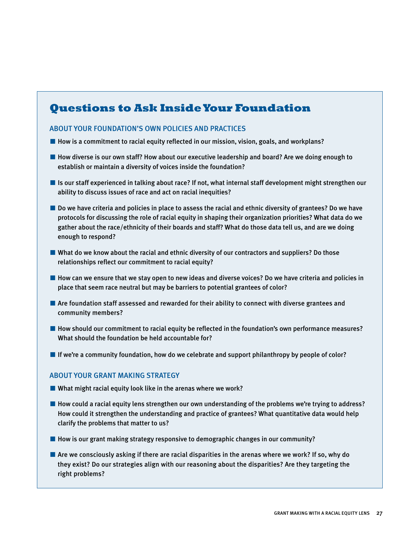## **Questions to Ask Inside Your Foundation**

#### About your foundation's own policies and practices

- How is a commitment to racial equity reflected in our mission, vision, goals, and workplans?
- How diverse is our own staff? How about our executive leadership and board? Are we doing enough to establish or maintain a diversity of voices inside the foundation?
- Is our staff experienced in talking about race? If not, what internal staff development might strengthen our ability to discuss issues of race and act on racial inequities?
- Do we have criteria and policies in place to assess the racial and ethnic diversity of grantees? Do we have protocols for discussing the role of racial equity in shaping their organization priorities? What data do we gather about the race/ethnicity of their boards and staff? What do those data tell us, and are we doing enough to respond?
- What do we know about the racial and ethnic diversity of our contractors and suppliers? Do those relationships reflect our commitment to racial equity?
- How can we ensure that we stay open to new ideas and diverse voices? Do we have criteria and policies in place that seem race neutral but may be barriers to potential grantees of color?
- Are foundation staff assessed and rewarded for their ability to connect with diverse grantees and community members?
- How should our commitment to racial equity be reflected in the foundation's own performance measures? What should the foundation be held accountable for?
- If we're a community foundation, how do we celebrate and support philanthropy by people of color?

#### ABOUT YOUR GRANT MAKING STRATEGY

- $\blacksquare$  What might racial equity look like in the arenas where we work?
- How could a racial equity lens strengthen our own understanding of the problems we're trying to address? How could it strengthen the understanding and practice of grantees? What quantitative data would help clarify the problems that matter to us?
- How is our grant making strategy responsive to demographic changes in our community?
- Are we consciously asking if there are racial disparities in the arenas where we work? If so, why do they exist? Do our strategies align with our reasoning about the disparities? Are they targeting the right problems?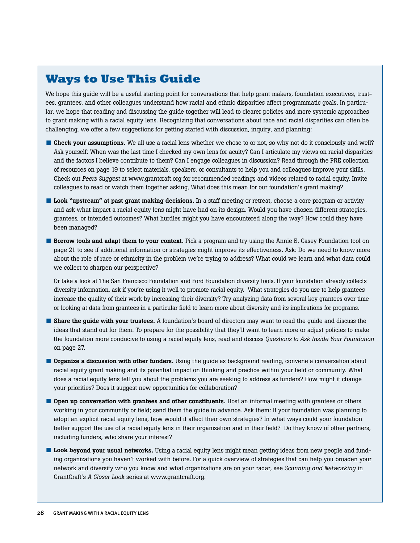## **Ways to Use This Guide**

We hope this guide will be a useful starting point for conversations that help grant makers, foundation executives, trustees, grantees, and other colleagues understand how racial and ethnic disparities affect programmatic goals. In particular, we hope that reading and discussing the guide together will lead to clearer policies and more systemic approaches to grant making with a racial equity lens. Recognizing that conversations about race and racial disparities can often be challenging, we offer a few suggestions for getting started with discussion, inquiry, and planning:

- Check your assumptions. We all use a racial lens whether we chose to or not, so why not do it consciously and well? Ask yourself: When was the last time I checked my own lens for acuity? Can I articulate my views on racial disparities and the factors I believe contribute to them? Can I engage colleagues in discussion? Read through the PRE collection of resources on page 19 to select materials, speakers, or consultants to help you and colleagues improve your skills. Check out *Peers Suggest* at www.grantcraft.org for recommended readings and videos related to racial equity. Invite colleagues to read or watch them together asking, What does this mean for our foundation's grant making?
- Look "upstream" at past grant making decisions. In a staff meeting or retreat, choose a core program or activity and ask what impact a racial equity lens might have had on its design. Would you have chosen different strategies, grantees, or intended outcomes? What hurdles might you have encountered along the way? How could they have been managed?
- Borrow tools and adapt them to your context. Pick a program and try using the Annie E. Casey Foundation tool on page 21 to see if additional information or strategies might improve its effectiveness. Ask: Do we need to know more about the role of race or ethnicity in the problem we're trying to address? What could we learn and what data could we collect to sharpen our perspective?

Or take a look at The San Francisco Foundation and Ford Foundation diversity tools. If your foundation already collects diversity information, ask if you're using it well to promote racial equity. What strategies do you use to help grantees increase the quality of their work by increasing their diversity? Try analyzing data from several key grantees over time or looking at data from grantees in a particular field to learn more about diversity and its implications for programs.

- Share the guide with your trustees. A foundation's board of directors may want to read the guide and discuss the ideas that stand out for them. To prepare for the possibility that they'll want to learn more or adjust policies to make the foundation more conducive to using a racial equity lens, read and discuss *Questions to Ask Inside Your Foundation* on page 27.
- Organize a discussion with other funders. Using the guide as background reading, convene a conversation about racial equity grant making and its potential impact on thinking and practice within your field or community. What does a racial equity lens tell you about the problems you are seeking to address as funders? How might it change your priorities? Does it suggest new opportunities for collaboration?
- Open up conversation with grantees and other constituents. Host an informal meeting with grantees or others working in your community or field; send them the guide in advance. Ask them: If your foundation was planning to adopt an explicit racial equity lens, how would it affect their own strategies? In what ways could your foundation better support the use of a racial equity lens in their organization and in their field? Do they know of other partners, including funders, who share your interest?
- Look beyond your usual networks. Using a racial equity lens might mean getting ideas from new people and funding organizations you haven't worked with before. For a quick overview of strategies that can help you broaden your network and diversify who you know and what organizations are on your radar, see *Scanning and Networking* in GrantCraft's *A Closer Look* series at www.grantcraft.org.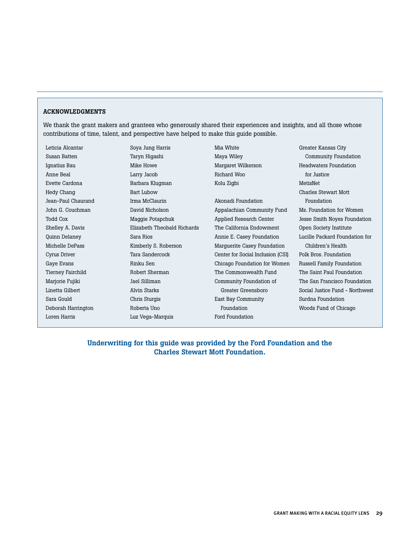#### ACKNOWLEDGMENTS

We thank the grant makers and grantees who generously shared their experiences and insights, and all those whose contributions of time, talent, and perspective have helped to make this guide possible.

Leticia Alcantar Susan Batten Ignatius Bau Anne Beal Evette Cardona Hedy Chang Jean-Paul Chaurand John G. Couchman Todd Cox Shelley A. Davis Quinn Delaney Michelle DePass Cyrus Driver Gaye Evans Tierney Fairchild Marjorie Fujiki Linetta Gilbert Sara Gould Deborah Harrington Loren Harris

Soya Jung Harris Taryn Higashi Mike Howe Larry Jacob Barbara Klugman Bart Lubow Irma McClaurin David Nicholson Maggie Potapchuk Elizabeth Theobald Richards Sara Rios Kimberly S. Roberson Tara Sandercock Rinku Sen Robert Sherman Jael Silliman Alvin Starks Chris Sturgis Roberta Uno Luz Vega-Marquis

Mia White Maya Wiley Margaret Wilkerson Richard Woo Kolu Zigbi

Akonadi Foundation Appalachian Community Fund Applied Research Center The California Endowment Annie E. Casey Foundation Marguerite Casey Foundation Center for Social Inclusion (CSI) Chicago Foundation for Women The Commonwealth Fund Community Foundation of Greater Greensboro East Bay Community Foundation Ford Foundation

Greater Kansas City Community Foundation Headwaters Foundation for Justice MetisNet Charles Stewart Mott Foundation Ms. Foundation for Women Jesse Smith Noyes Foundation Open Society Institute Lucille Packard Foundation for Children's Health Polk Bros. Foundation Russell Family Foundation The Saint Paul Foundation The San Francisco Foundation Social Justice Fund - Northwest Surdna Foundation Woods Fund of Chicago

Underwriting for this guide was provided by the Ford Foundation and the Charles Stewart Mott Foundation.